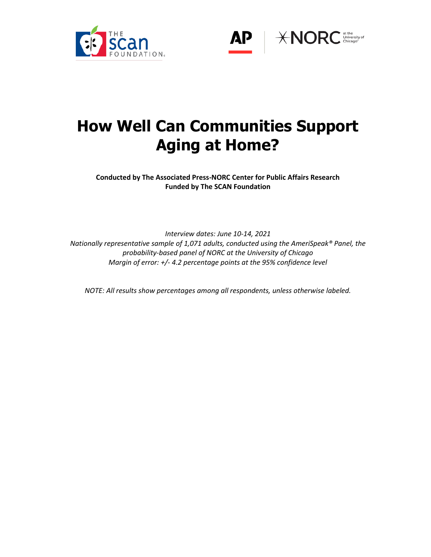



# **How Well Can Communities Support Aging at Home?**

**Conducted by The Associated Press-NORC Center for Public Affairs Research Funded by The SCAN Foundation**

*Interview dates: June 10-14, 2021 Nationally representative sample of 1,071 adults, conducted using the AmeriSpeak® Panel, the probability-based panel of NORC at the University of Chicago Margin of error: +/- 4.2 percentage points at the 95% confidence level*

*NOTE: All results show percentages among all respondents, unless otherwise labeled.*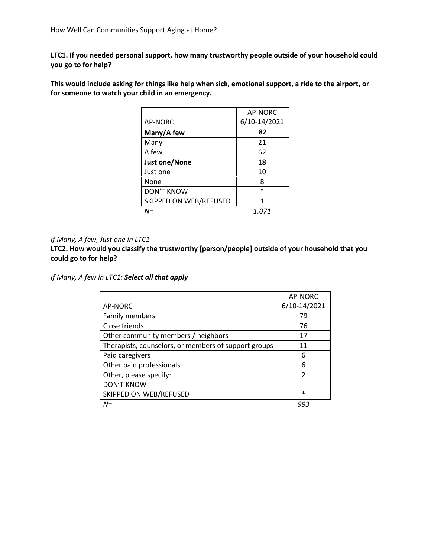**LTC1. If you needed personal support, how many trustworthy people outside of your household could you go to for help?**

**This would include asking for things like help when sick, emotional support, a ride to the airport, or for someone to watch your child in an emergency.**

|                        | AP-NORC      |
|------------------------|--------------|
| AP-NORC                | 6/10-14/2021 |
| Many/A few             | 82           |
| Many                   | 21           |
| A few                  | 62           |
| <b>Just one/None</b>   | 18           |
| Just one               | 10           |
| None                   | 8            |
| <b>DON'T KNOW</b>      | $\ast$       |
| SKIPPED ON WEB/REFUSED | 1            |
| $N =$                  | 1.071        |

### *If Many, A few, Just one in LTC1*

**LTC2. How would you classify the trustworthy [person/people] outside of your household that you could go to for help?**

*If Many, A few in LTC1: Select all that apply*

|                                                      | AP-NORC       |
|------------------------------------------------------|---------------|
| AP-NORC                                              | 6/10-14/2021  |
| Family members                                       | 79            |
| Close friends                                        | 76            |
| Other community members / neighbors                  | 17            |
| Therapists, counselors, or members of support groups | 11            |
| Paid caregivers                                      | 6             |
| Other paid professionals                             | 6             |
| Other, please specify:                               | $\mathcal{P}$ |
| <b>DON'T KNOW</b>                                    |               |
| SKIPPED ON WEB/REFUSED                               | $\ast$        |
| $N =$                                                | 993           |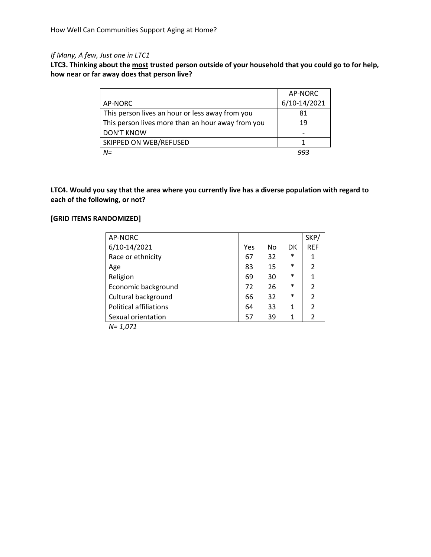# *If Many, A few, Just one in LTC1*

**LTC3. Thinking about the most trusted person outside of your household that you could go to for help, how near or far away does that person live?**

|                                                   | AP-NORC      |
|---------------------------------------------------|--------------|
| AP-NORC                                           | 6/10-14/2021 |
| This person lives an hour or less away from you   | 81           |
| This person lives more than an hour away from you | 19           |
| <b>DON'T KNOW</b>                                 |              |
| SKIPPED ON WEB/REFUSED                            |              |
| $N =$                                             | 993          |

**LTC4. Would you say that the area where you currently live has a diverse population with regard to each of the following, or not?**

## **[GRID ITEMS RANDOMIZED]**

| AP-NORC                       |     |    |        | SKP/           |
|-------------------------------|-----|----|--------|----------------|
| 6/10-14/2021                  | Yes | No | DK     | <b>REF</b>     |
| Race or ethnicity             | 67  | 32 | $\ast$ | 1              |
| Age                           | 83  | 15 | $\ast$ | $\overline{2}$ |
| Religion                      | 69  | 30 | $\ast$ | 1              |
| Economic background           | 72  | 26 | $\ast$ | $\overline{2}$ |
| Cultural background           | 66  | 32 | $\ast$ | $\overline{2}$ |
| <b>Political affiliations</b> | 64  | 33 | 1      | $\overline{2}$ |
| Sexual orientation            | 57  | 39 | 1      | $\overline{2}$ |
|                               |     |    |        |                |

*N= 1,071*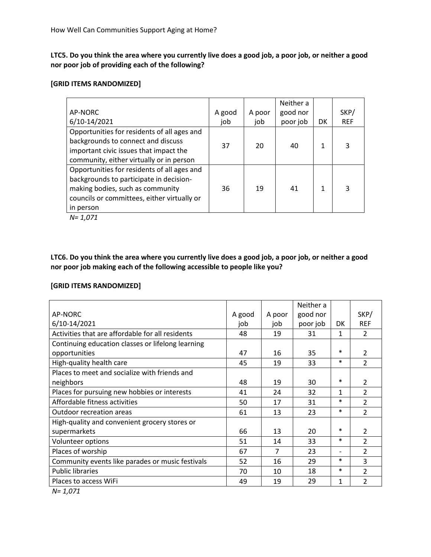**LTC5. Do you think the area where you currently live does a good job, a poor job, or neither a good nor poor job of providing each of the following?**

### **[GRID ITEMS RANDOMIZED]**

|                                             |        |        | Neither a |    |            |
|---------------------------------------------|--------|--------|-----------|----|------------|
| AP-NORC                                     | A good | A poor | good nor  |    | SKP/       |
| 6/10-14/2021                                | job    | job    | poor job  | DK | <b>REF</b> |
| Opportunities for residents of all ages and |        |        |           |    |            |
| backgrounds to connect and discuss          | 37     | 20     | 40        | 1  | 3          |
| important civic issues that impact the      |        |        |           |    |            |
| community, either virtually or in person    |        |        |           |    |            |
| Opportunities for residents of all ages and |        |        |           |    |            |
| backgrounds to participate in decision-     |        |        |           |    |            |
| making bodies, such as community            | 36     | 19     | 41        | 1  | 3          |
| councils or committees, either virtually or |        |        |           |    |            |
| in person                                   |        |        |           |    |            |
| .                                           |        |        |           |    |            |

*N= 1,071*

**LTC6. Do you think the area where you currently live does a good job, a poor job, or neither a good nor poor job making each of the following accessible to people like you?**

## **[GRID ITEMS RANDOMIZED]**

|                                                   |        |        | Neither a |                              |                |
|---------------------------------------------------|--------|--------|-----------|------------------------------|----------------|
| AP-NORC                                           | A good | A poor | good nor  |                              | SKP/           |
| 6/10-14/2021                                      | iob    | job    | poor job  | DK.                          | <b>REF</b>     |
| Activities that are affordable for all residents  | 48     | 19     | 31        | 1                            | $\mathcal{P}$  |
| Continuing education classes or lifelong learning |        |        |           |                              |                |
| opportunities                                     | 47     | 16     | 35        | $\ast$                       | $\overline{2}$ |
| High-quality health care                          | 45     | 19     | 33        | $\ast$                       | $\overline{2}$ |
| Places to meet and socialize with friends and     |        |        |           |                              |                |
| neighbors                                         | 48     | 19     | 30        | *                            | $\mathfrak{p}$ |
| Places for pursuing new hobbies or interests      | 41     | 24     | 32        | 1                            | $\overline{2}$ |
| Affordable fitness activities                     | 50     | 17     | 31        | $\ast$                       | $\overline{2}$ |
| Outdoor recreation areas                          | 61     | 13     | 23        | $\ast$                       | $\overline{2}$ |
| High-quality and convenient grocery stores or     |        |        |           |                              |                |
| supermarkets                                      | 66     | 13     | 20        | $\ast$                       | $\mathcal{P}$  |
| Volunteer options                                 | 51     | 14     | 33        | $\ast$                       | $\overline{2}$ |
| Places of worship                                 | 67     | 7      | 23        | $\qquad \qquad \blacksquare$ | $\overline{2}$ |
| Community events like parades or music festivals  | 52     | 16     | 29        | $\ast$                       | 3              |
| <b>Public libraries</b>                           | 70     | 10     | 18        | $\ast$                       | $\overline{2}$ |
| Places to access WiFi                             | 49     | 19     | 29        | 1                            | $\overline{2}$ |

*N= 1,071*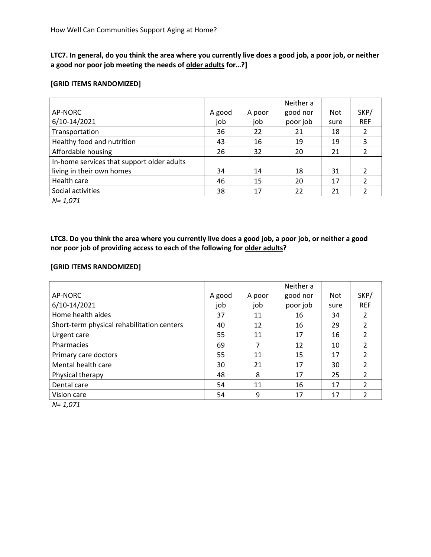**LTC7. In general, do you think the area where you currently live does a good job, a poor job, or neither a good nor poor job meeting the needs of older adults for…?]**

### **[GRID ITEMS RANDOMIZED]**

|                                            |        |        | Neither a |      |            |
|--------------------------------------------|--------|--------|-----------|------|------------|
| AP-NORC                                    | A good | A poor | good nor  | Not  | SKP/       |
| 6/10-14/2021                               | job    | job    | poor job  | sure | <b>REF</b> |
| Transportation                             | 36     | 22     | 21        | 18   |            |
| Healthy food and nutrition                 | 43     | 16     | 19        | 19   | 3          |
| Affordable housing                         | 26     | 32     | 20        | 21   | 2          |
| In-home services that support older adults |        |        |           |      |            |
| living in their own homes                  | 34     | 14     | 18        | 31   |            |
| Health care                                | 46     | 15     | 20        | 17   | 2          |
| Social activities                          | 38     | 17     | 22        | 21   |            |

*N= 1,071*

**LTC8. Do you think the area where you currently live does a good job, a poor job, or neither a good nor poor job of providing access to each of the following for older adults?**

## **[GRID ITEMS RANDOMIZED]**

|        |        | Neither a |            |                |
|--------|--------|-----------|------------|----------------|
| A good | A poor | good nor  | <b>Not</b> | SKP/           |
| job    | job    | poor job  | sure       | <b>REF</b>     |
| 37     | 11     | 16        | 34         | 2              |
| 40     | 12     | 16        | 29         | 2              |
| 55     | 11     | 17        | 16         | $\mathfrak{p}$ |
| 69     | 7      | 12        | 10         | 2              |
| 55     | 11     | 15        | 17         | $\mathcal{P}$  |
| 30     | 21     | 17        | 30         | $\mathcal{P}$  |
| 48     | 8      | 17        | 25         | $\mathcal{P}$  |
| 54     | 11     | 16        | 17         | $\mathcal{P}$  |
| 54     | 9      | 17        | 17         | $\mathcal{P}$  |
|        |        |           |            |                |

*N= 1,071*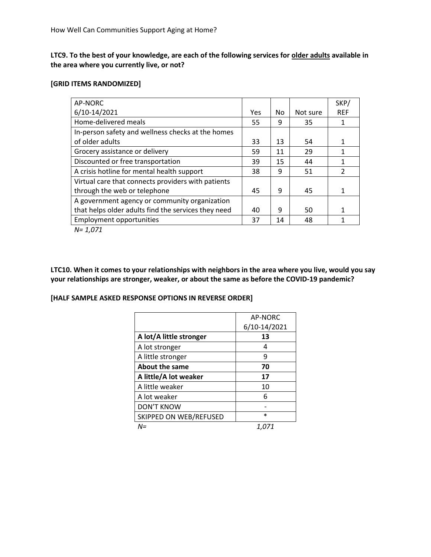**LTC9. To the best of your knowledge, are each of the following services for older adults available in the area where you currently live, or not?**

### **[GRID ITEMS RANDOMIZED]**

| AP-NORC                                             |     |    |          | SKP/          |
|-----------------------------------------------------|-----|----|----------|---------------|
| 6/10-14/2021                                        | Yes | No | Not sure | <b>REF</b>    |
| Home-delivered meals                                | 55  | 9  | 35       | 1             |
| In-person safety and wellness checks at the homes   |     |    |          |               |
| of older adults                                     | 33  | 13 | 54       | 1             |
| Grocery assistance or delivery                      | 59  | 11 | 29       | 1             |
| Discounted or free transportation                   | 39  | 15 | 44       | 1             |
| A crisis hotline for mental health support          | 38  | 9  | 51       | $\mathcal{P}$ |
| Virtual care that connects providers with patients  |     |    |          |               |
| through the web or telephone                        | 45  | 9  | 45       | 1             |
| A government agency or community organization       |     |    |          |               |
| that helps older adults find the services they need | 40  | 9  | 50       | 1             |
| <b>Employment opportunities</b>                     | 37  | 14 | 48       | 1             |
| $\mathbf{A}$ $\mathbf{A}$ $\mathbf{A}$ $\mathbf{A}$ |     |    |          |               |

*N= 1,071*

**LTC10. When it comes to your relationships with neighbors in the area where you live, would you say your relationships are stronger, weaker, or about the same as before the COVID-19 pandemic?**

## **[HALF SAMPLE ASKED RESPONSE OPTIONS IN REVERSE ORDER]**

|                         | AP-NORC      |
|-------------------------|--------------|
|                         | 6/10-14/2021 |
| A lot/A little stronger | 13           |
| A lot stronger          | 4            |
| A little stronger       | 9            |
| <b>About the same</b>   | 70           |
| A little/A lot weaker   | 17           |
| A little weaker         | 10           |
| A lot weaker            | 6            |
| <b>DON'T KNOW</b>       |              |
| SKIPPED ON WEB/REFUSED  | $\ast$       |
| N=                      | 1.071        |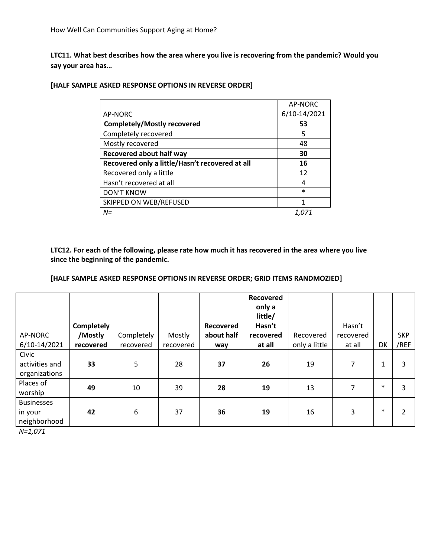**LTC11. What best describes how the area where you live is recovering from the pandemic? Would you say your area has…**

|                                                 | AP-NORC      |
|-------------------------------------------------|--------------|
| AP-NORC                                         | 6/10-14/2021 |
| <b>Completely/Mostly recovered</b>              | 53           |
| Completely recovered                            | 5            |
| Mostly recovered                                | 48           |
| <b>Recovered about half way</b>                 | 30           |
| Recovered only a little/Hasn't recovered at all | 16           |
| Recovered only a little                         | 12           |
| Hasn't recovered at all                         | 4            |
| <b>DON'T KNOW</b>                               | $\ast$       |
| SKIPPED ON WEB/REFUSED                          | 1            |
| $N =$                                           |              |

## **[HALF SAMPLE ASKED RESPONSE OPTIONS IN REVERSE ORDER]**

**LTC12. For each of the following, please rate how much it has recovered in the area where you live since the beginning of the pandemic.**

## **[HALF SAMPLE ASKED RESPONSE OPTIONS IN REVERSE ORDER; GRID ITEMS RANDMOZIED]**

| AP-NORC                                                   | Completely<br>/Mostly | Completely | Mostly    | Recovered<br>about half | Recovered<br>only a<br>little/<br>Hasn't<br>recovered | Recovered     | Hasn't<br>recovered |        | <b>SKP</b> |
|-----------------------------------------------------------|-----------------------|------------|-----------|-------------------------|-------------------------------------------------------|---------------|---------------------|--------|------------|
| 6/10-14/2021                                              | recovered             | recovered  | recovered | way                     | at all                                                | only a little | at all              | DK     | /REF       |
| Civic<br>activities and<br>organizations                  | 33                    | 5          | 28        | 37                      | 26                                                    | 19            | 7                   | 1      | 3          |
| Places of<br>worship                                      | 49                    | 10         | 39        | 28                      | 19                                                    | 13            | 7                   | $\ast$ | 3          |
| <b>Businesses</b><br>in your<br>neighborhood<br>$N=1,071$ | 42                    | 6          | 37        | 36                      | 19                                                    | 16            | 3                   | $\ast$ | 2          |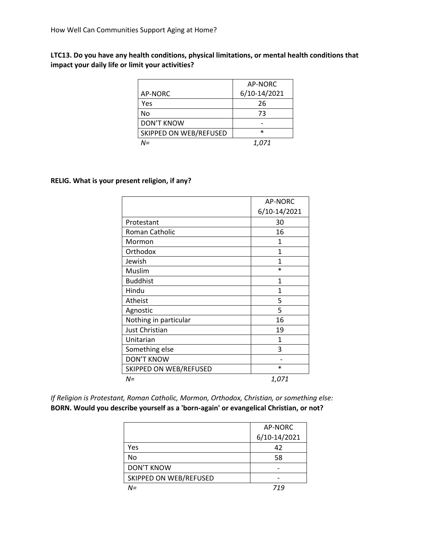# **LTC13. Do you have any health conditions, physical limitations, or mental health conditions that impact your daily life or limit your activities?**

|                        | AP-NORC      |
|------------------------|--------------|
| AP-NORC                | 6/10-14/2021 |
| Yes                    | 26           |
| No                     | 73           |
| <b>DON'T KNOW</b>      |              |
| SKIPPED ON WEB/REFUSED | $\ast$       |
| N=                     | 1.071        |

### **RELIG. What is your present religion, if any?**

|                        | <b>AP-NORC</b> |
|------------------------|----------------|
|                        | 6/10-14/2021   |
| Protestant             | 30             |
| Roman Catholic         | 16             |
| Mormon                 | 1              |
| Orthodox               | 1              |
| Jewish                 | 1              |
| Muslim                 | $\ast$         |
| <b>Buddhist</b>        | 1              |
| Hindu                  | 1              |
| <b>Atheist</b>         | 5              |
| Agnostic               | 5              |
| Nothing in particular  | 16             |
| <b>Just Christian</b>  | 19             |
| Unitarian              | 1              |
| Something else         | 3              |
| <b>DON'T KNOW</b>      |                |
| SKIPPED ON WEB/REFUSED | $\ast$         |
| $N =$                  | 1,071          |

*If Religion is Protestant, Roman Catholic, Mormon, Orthodox, Christian, or something else:*  **BORN. Would you describe yourself as a 'born-again' or evangelical Christian, or not?**

|                        | AP-NORC      |
|------------------------|--------------|
|                        | 6/10-14/2021 |
| Yes                    | 42           |
| No                     | 58           |
| <b>DON'T KNOW</b>      |              |
| SKIPPED ON WEB/REFUSED |              |
| N=                     | 719          |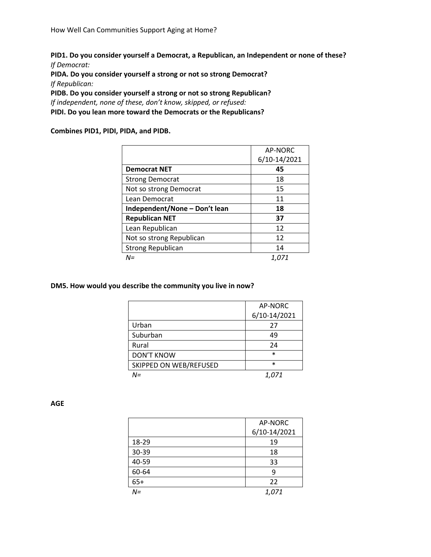**PID1. Do you consider yourself a Democrat, a Republican, an Independent or none of these?** *If Democrat:*

**PIDA. Do you consider yourself a strong or not so strong Democrat?** *If Republican:*

**PIDB. Do you consider yourself a strong or not so strong Republican?** *If independent, none of these, don't know, skipped, or refused:*  **PIDI. Do you lean more toward the Democrats or the Republicans?**

**Combines PID1, PIDI, PIDA, and PIDB.**

|                               | AP-NORC      |
|-------------------------------|--------------|
|                               | 6/10-14/2021 |
| <b>Democrat NET</b>           | 45           |
| <b>Strong Democrat</b>        | 18           |
| Not so strong Democrat        | 15           |
| Lean Democrat                 | 11           |
| Independent/None - Don't lean | 18           |
| <b>Republican NET</b>         | 37           |
| Lean Republican               | 12           |
| Not so strong Republican      | 12           |
| <b>Strong Republican</b>      | 14           |
| N=                            | 1.071        |

**DM5. How would you describe the community you live in now?**

|                        | AP-NORC      |
|------------------------|--------------|
|                        | 6/10-14/2021 |
| Urban                  | 27           |
| Suburban               | 49           |
| Rural                  | 24           |
| <b>DON'T KNOW</b>      | $\ast$       |
| SKIPPED ON WEB/REFUSED | $\ast$       |
| N=                     | 1.071        |

**AGE**

|       | AP-NORC      |
|-------|--------------|
|       | 6/10-14/2021 |
| 18-29 | 19           |
| 30-39 | 18           |
| 40-59 | 33           |
| 60-64 | 9            |
| $65+$ | 22           |
| $N =$ | 1,071        |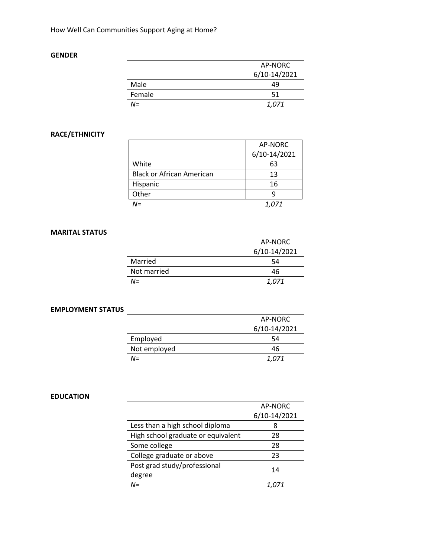## **GENDER**

|        | AP-NORC      |
|--------|--------------|
|        | 6/10-14/2021 |
| Male   | 49           |
| Female | 51           |
| N=     | 1.071        |

# **RACE/ETHNICITY**

|                                  | AP-NORC      |
|----------------------------------|--------------|
|                                  | 6/10-14/2021 |
| White                            | 63           |
| <b>Black or African American</b> | 13           |
| Hispanic                         | 16           |
| Other                            |              |
| $N =$                            | 1,071        |

## **MARITAL STATUS**

|             | AP-NORC      |
|-------------|--------------|
|             | 6/10-14/2021 |
| Married     | 54           |
| Not married | 46           |
| $N =$       | 1.071        |

## **EMPLOYMENT STATUS**

|              | AP-NORC      |
|--------------|--------------|
|              | 6/10-14/2021 |
| Employed     | 54           |
| Not employed | 46           |
| $N =$        | 1.071        |

## **EDUCATION**

|                                    | AP-NORC      |
|------------------------------------|--------------|
|                                    | 6/10-14/2021 |
| Less than a high school diploma    | 8            |
| High school graduate or equivalent | 28           |
| Some college                       | 28           |
| College graduate or above          | 23           |
| Post grad study/professional       | 14           |
| degree                             |              |
| $M =$                              |              |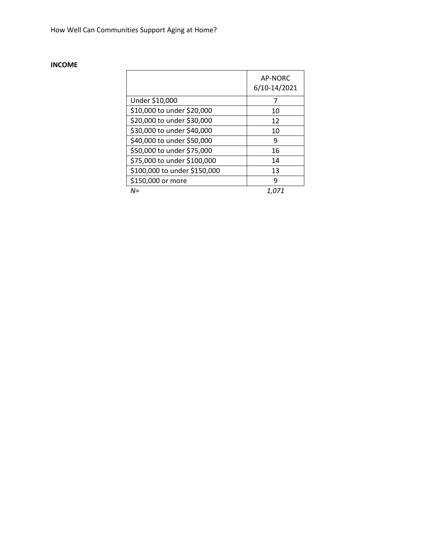# **INCOME**

|                              | AP-NORC<br>6/10-14/2021 |
|------------------------------|-------------------------|
| Under \$10,000               | 7                       |
| \$10,000 to under \$20,000   | 10                      |
| \$20,000 to under \$30,000   | 12                      |
| \$30,000 to under \$40,000   | 10                      |
| \$40,000 to under \$50,000   | 9                       |
| \$50,000 to under \$75,000   | 16                      |
| \$75,000 to under \$100,000  | 14                      |
| \$100,000 to under \$150,000 | 13                      |
| \$150,000 or more            | q                       |
| $N =$                        | 1.071                   |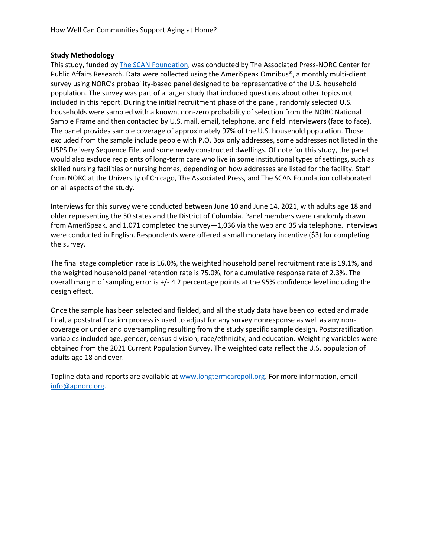## **Study Methodology**

This study, funded by [The SCAN Foundation,](http://www.thescanfoundation.org/) was conducted by The Associated Press-NORC Center for Public Affairs Research. Data were collected using the AmeriSpeak Omnibus®, a monthly multi-client survey using NORC's probability-based panel designed to be representative of the U.S. household population. The survey was part of a larger study that included questions about other topics not included in this report. During the initial recruitment phase of the panel, randomly selected U.S. households were sampled with a known, non-zero probability of selection from the NORC National Sample Frame and then contacted by U.S. mail, email, telephone, and field interviewers (face to face). The panel provides sample coverage of approximately 97% of the U.S. household population. Those excluded from the sample include people with P.O. Box only addresses, some addresses not listed in the USPS Delivery Sequence File, and some newly constructed dwellings. Of note for this study, the panel would also exclude recipients of long-term care who live in some institutional types of settings, such as skilled nursing facilities or nursing homes, depending on how addresses are listed for the facility. Staff from NORC at the University of Chicago, The Associated Press, and The SCAN Foundation collaborated on all aspects of the study.

Interviews for this survey were conducted between June 10 and June 14, 2021, with adults age 18 and older representing the 50 states and the District of Columbia. Panel members were randomly drawn from AmeriSpeak, and 1,071 completed the survey—1,036 via the web and 35 via telephone. Interviews were conducted in English. Respondents were offered a small monetary incentive (\$3) for completing the survey.

The final stage completion rate is 16.0%, the weighted household panel recruitment rate is 19.1%, and the weighted household panel retention rate is 75.0%, for a cumulative response rate of 2.3%. The overall margin of sampling error is +/- 4.2 percentage points at the 95% confidence level including the design effect.

Once the sample has been selected and fielded, and all the study data have been collected and made final, a poststratification process is used to adjust for any survey nonresponse as well as any noncoverage or under and oversampling resulting from the study specific sample design. Poststratification variables included age, gender, census division, race/ethnicity, and education. Weighting variables were obtained from the 2021 Current Population Survey. The weighted data reflect the U.S. population of adults age 18 and over.

Topline data and reports are available at [www.longtermcarepoll.org.](http://www.longtermcarepoll.org/) For more information, email [info@apnorc.org.](mailto:info@apnorc.org)